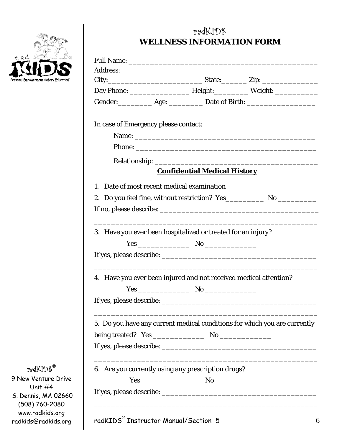

## radKIDS **WELLNESS INFORMATION FORM**

|                                      | Gender: ____________ Age: _____________ Date of Birth: _________________________ |  |
|--------------------------------------|----------------------------------------------------------------------------------|--|
| In case of Emergency please contact: |                                                                                  |  |
|                                      | Name: Name:                                                                      |  |
|                                      |                                                                                  |  |
|                                      |                                                                                  |  |
|                                      | <b>Confidential Medical History</b>                                              |  |
| 1.                                   |                                                                                  |  |
|                                      |                                                                                  |  |
|                                      |                                                                                  |  |
|                                      |                                                                                  |  |
|                                      | 3. Have you ever been hospitalized or treated for an injury?                     |  |
|                                      |                                                                                  |  |
|                                      |                                                                                  |  |
|                                      | 4. Have you ever been injured and not received medical attention?                |  |
|                                      |                                                                                  |  |
|                                      |                                                                                  |  |
|                                      | 5. Do you have any current medical conditions for which you are currently        |  |
|                                      |                                                                                  |  |
|                                      |                                                                                  |  |
|                                      |                                                                                  |  |
|                                      | 6. Are you currently using any prescription drugs?                               |  |
|                                      |                                                                                  |  |
|                                      |                                                                                  |  |

radKIDS**®**

9 New Venture Drive Unit #4 S. Dennis, MA 02660 (508) 760-2080 www.radkids.org radkids@radkids.org